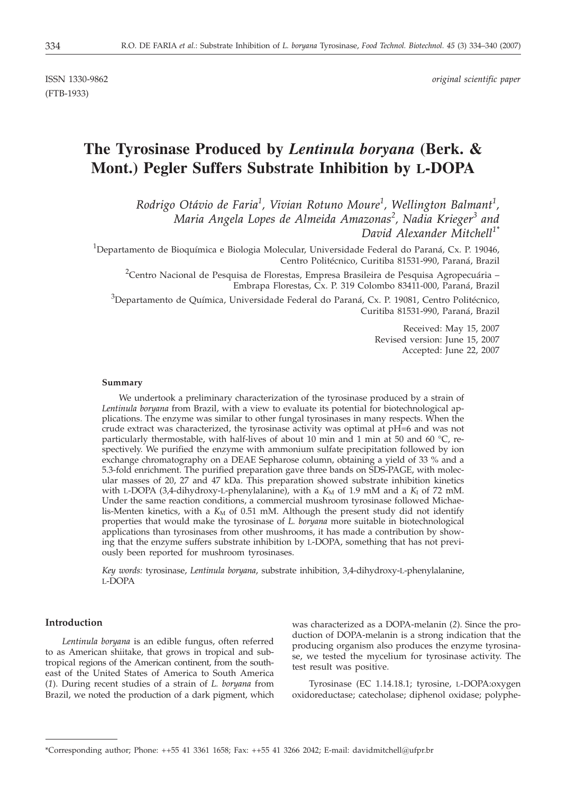ISSN 1330-9862 *original scientific paper*

# **The Tyrosinase Produced by** *Lentinula boryana* **(Berk. & Mont.) Pegler Suffers Substrate Inhibition by L-DOPA**

*Rodrigo Otávio de Faria<sup>1</sup> , Vivian Rotuno Moure<sup>1</sup> , Wellington Balmant<sup>1</sup> , Maria Angela Lopes de Almeida Amazonas<sup>2</sup> , Nadia Krieger<sup>3</sup> and David Alexander Mitchell1\**

 $^{1}$ Departamento de Bioquímica e Biologia Molecular, Universidade Federal do Paraná, Cx. P. 19046, Centro Politécnico, Curitiba 81531-990, Paraná, Brazil

 $^{2}$ Centro Nacional de Pesquisa de Florestas, Empresa Brasileira de Pesquisa Agropecuária – Embrapa Florestas, Cx. P. 319 Colombo 83411-000, Paraná, Brazil

 $^3$ Departamento de Química, Universidade Federal do Paraná, Cx. P. 19081, Centro Politécnico, Curitiba 81531-990, Paraná, Brazil

> Received: May 15, 2007 Revised version: June 15, 2007 Accepted: June 22, 2007

#### **Summary**

We undertook a preliminary characterization of the tyrosinase produced by a strain of *Lentinula boryana* from Brazil, with a view to evaluate its potential for biotechnological applications. The enzyme was similar to other fungal tyrosinases in many respects. When the crude extract was characterized, the tyrosinase activity was optimal at pH=6 and was not particularly thermostable, with half-lives of about 10 min and 1 min at 50 and 60 °C, respectively. We purified the enzyme with ammonium sulfate precipitation followed by ion exchange chromatography on a DEAE Sepharose column, obtaining a yield of 33 % and a 5.3-fold enrichment. The purified preparation gave three bands on SDS-PAGE, with molecular masses of 20, 27 and 47 kDa. This preparation showed substrate inhibition kinetics with L-DOPA (3,4-dihydroxy-L-phenylalanine), with a  $K_M$  of 1.9 mM and a  $K_I$  of 72 mM. Under the same reaction conditions, a commercial mushroom tyrosinase followed Michaelis-Menten kinetics, with a  $K_M$  of 0.51 mM. Although the present study did not identify properties that would make the tyrosinase of *L. boryana* more suitable in biotechnological applications than tyrosinases from other mushrooms, it has made a contribution by showing that the enzyme suffers substrate inhibition by L-DOPA, something that has not previously been reported for mushroom tyrosinases.

*Key words:* tyrosinase, *Lentinula boryana*, substrate inhibition, 3,4-dihydroxy-L-phenylalanine, L-DOPA

## **Introduction**

*Lentinula boryana* is an edible fungus, often referred to as American shiitake, that grows in tropical and subtropical regions of the American continent, from the southeast of the United States of America to South America (*1*). During recent studies of a strain of *L. boryana* from Brazil, we noted the production of a dark pigment, which

was characterized as a DOPA-melanin (*2*). Since the production of DOPA-melanin is a strong indication that the producing organism also produces the enzyme tyrosinase, we tested the mycelium for tyrosinase activity. The test result was positive.

Tyrosinase (EC 1.14.18.1; tyrosine, L-DOPA:oxygen oxidoreductase; catecholase; diphenol oxidase; polyphe-

<sup>\*</sup>Corresponding author; Phone: ++55 41 3361 1658; Fax: ++55 41 3266 2042; E-mail: davidmitchell*@*ufpr.br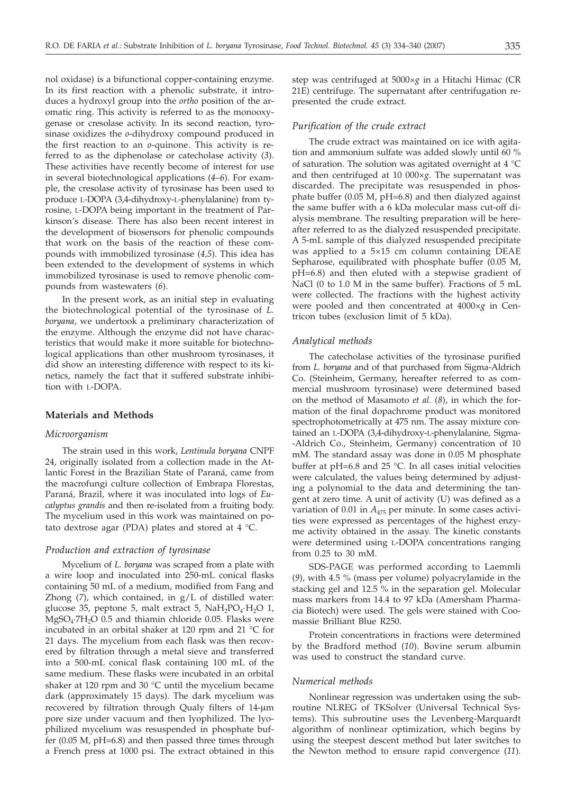nol oxidase) is a bifunctional copper-containing enzyme. In its first reaction with a phenolic substrate, it introduces a hydroxyl group into the *ortho* position of the aromatic ring. This activity is referred to as the monooxygenase or cresolase activity. In its second reaction, tyrosinase oxidizes the *o*-dihydroxy compound produced in the first reaction to an *o*-quinone. This activity is referred to as the diphenolase or catecholase activity (*3*). These activities have recently become of interest for use in several biotechnological applications (*4*–*6*). For example, the cresolase activity of tyrosinase has been used to produce L-DOPA (3,4-dihydroxy-L-phenylalanine) from tyrosine, L-DOPA being important in the treatment of Parkinson's disease. There has also been recent interest in the development of biosensors for phenolic compounds that work on the basis of the reaction of these compounds with immobilized tyrosinase (*4,5*). This idea has been extended to the development of systems in which immobilized tyrosinase is used to remove phenolic compounds from wastewaters (*6*).

In the present work, as an initial step in evaluating the biotechnological potential of the tyrosinase of *L. boryana*, we undertook a preliminary characterization of the enzyme. Although the enzyme did not have characteristics that would make it more suitable for biotechnological applications than other mushroom tyrosinases, it did show an interesting difference with respect to its kinetics, namely the fact that it suffered substrate inhibition with L-DOPA.

## **Materials and Methods**

#### *Microorganism*

The strain used in this work, *Lentinula boryana* CNPF 24, originally isolated from a collection made in the Atlantic Forest in the Brazilian State of Paraná, came from the macrofungi culture collection of Embrapa Florestas, Paraná, Brazil, where it was inoculated into logs of *Eucalyptus grandis* and then re-isolated from a fruiting body. The mycelium used in this work was maintained on potato dextrose agar (PDA) plates and stored at 4 °C.

# *Production and extraction of tyrosinase*

Mycelium of *L. boryana* was scraped from a plate with a wire loop and inoculated into 250-mL conical flasks containing 50 mL of a medium, modified from Fang and Zhong (*7*), which contained, in g/L of distilled water: glucose 35, peptone 5, malt extract 5,  $NAH_2PO_4·H_2O$  1,  $MgSO<sub>4</sub>·7H<sub>2</sub>O$  0.5 and thiamin chloride 0.05. Flasks were incubated in an orbital shaker at 120 rpm and 21 °C for 21 days. The mycelium from each flask was then recovered by filtration through a metal sieve and transferred into a 500-mL conical flask containing 100 mL of the same medium. These flasks were incubated in an orbital shaker at 120 rpm and 30 °C until the mycelium became dark (approximately 15 days). The dark mycelium was recovered by filtration through Qualy filters of 14-µm pore size under vacuum and then lyophilized. The lyophilized mycelium was resuspended in phosphate buffer (0.05 M, pH=6.8) and then passed three times through a French press at 1000 psi. The extract obtained in this

step was centrifuged at 5000×*g* in a Hitachi Himac (CR 21E) centrifuge. The supernatant after centrifugation represented the crude extract.

#### *Purification of the crude extract*

The crude extract was maintained on ice with agitation and ammonium sulfate was added slowly until 60 % of saturation. The solution was agitated overnight at 4 °C and then centrifuged at 10 000×*g*. The supernatant was discarded. The precipitate was resuspended in phosphate buffer (0.05 M, pH=6.8) and then dialyzed against the same buffer with a 6 kDa molecular mass cut-off dialysis membrane. The resulting preparation will be hereafter referred to as the dialyzed resuspended precipitate. A 5-mL sample of this dialyzed resuspended precipitate was applied to a 5×15 cm column containing DEAE Sepharose, equilibrated with phosphate buffer (0.05 M, pH=6.8) and then eluted with a stepwise gradient of NaCl (0 to 1.0 M in the same buffer). Fractions of 5 mL were collected. The fractions with the highest activity were pooled and then concentrated at 4000×*g* in Centricon tubes (exclusion limit of 5 kDa).

#### *Analytical methods*

The catecholase activities of the tyrosinase purified from *L. boryana* and of that purchased from Sigma-Aldrich Co. (Steinheim, Germany, hereafter referred to as commercial mushroom tyrosinase) were determined based on the method of Masamoto *et al.* (*8*), in which the formation of the final dopachrome product was monitored spectrophotometrically at 475 nm. The assay mixture contained an L-DOPA (3,4-dihydroxy-L-phenylalanine, Sigma- -Aldrich Co., Steinheim, Germany) concentration of 10 mM. The standard assay was done in 0.05 M phosphate buffer at pH=6.8 and 25 °C. In all cases initial velocities were calculated, the values being determined by adjusting a polynomial to the data and determining the tangent at zero time. A unit of activity (U) was defined as a variation of 0.01 in  $A_{475}$  per minute. In some cases activities were expressed as percentages of the highest enzyme activity obtained in the assay. The kinetic constants were determined using L-DOPA concentrations ranging from 0.25 to 30 mM.

SDS-PAGE was performed according to Laemmli (*9*), with 4.5 % (mass per volume) polyacrylamide in the stacking gel and 12.5 % in the separation gel. Molecular mass markers from 14.4 to 97 kDa (Amersham Pharmacia Biotech) were used. The gels were stained with Coomassie Brilliant Blue R250.

Protein concentrations in fractions were determined by the Bradford method (*10*). Bovine serum albumin was used to construct the standard curve.

## *Numerical methods*

Nonlinear regression was undertaken using the subroutine NLREG of TKSolver (Universal Technical Systems). This subroutine uses the Levenberg-Marquardt algorithm of nonlinear optimization, which begins by using the steepest descent method but later switches to the Newton method to ensure rapid convergence (*11*).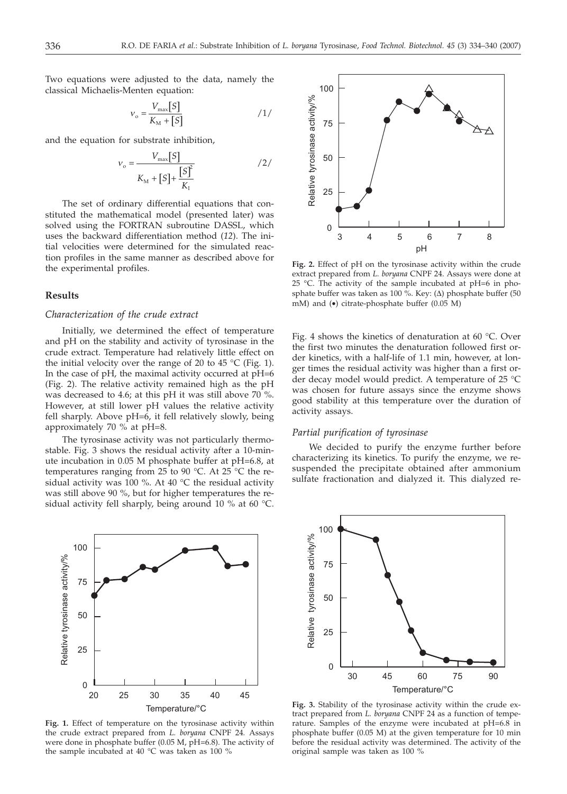Two equations were adjusted to the data, namely the classical Michaelis-Menten equation:

$$
v_{\rm o} = \frac{V_{\rm max}[S]}{K_{\rm M} + [S]}
$$
 / 1/

and the equation for substrate inhibition,

$$
v_{o} = \frac{V_{\text{max}}[S]}{K_{\text{M}} + [S] + \frac{[S]^2}{K_{\text{I}}}}
$$

The set of ordinary differential equations that constituted the mathematical model (presented later) was solved using the FORTRAN subroutine DASSL, which uses the backward differentiation method (*12*). The initial velocities were determined for the simulated reaction profiles in the same manner as described above for the experimental profiles.

### **Results**

## *Characterization of the crude extract*

Initially, we determined the effect of temperature and pH on the stability and activity of tyrosinase in the crude extract. Temperature had relatively little effect on the initial velocity over the range of 20 to 45  $^{\circ}$ C (Fig. 1). In the case of pH, the maximal activity occurred at pH=6 (Fig. 2). The relative activity remained high as the pH was decreased to 4.6; at this pH it was still above 70 %. However, at still lower pH values the relative activity fell sharply. Above pH=6, it fell relatively slowly, being approximately 70 % at pH=8.

The tyrosinase activity was not particularly thermostable. Fig. 3 shows the residual activity after a 10-minute incubation in 0.05 M phosphate buffer at pH=6.8, at temperatures ranging from 25 to 90 °C. At 25 °C the residual activity was 100 %. At 40 °C the residual activity was still above 90 %, but for higher temperatures the residual activity fell sharply, being around 10 % at 60 °C.



**Fig. 1.** Effect of temperature on the tyrosinase activity within the crude extract prepared from *L. boryana* CNPF 24*.* Assays were done in phosphate buffer (0.05 M, pH=6.8). The activity of the sample incubated at 40 °C was taken as 100 %



**Fig. 2.** Effect of pH on the tyrosinase activity within the crude extract prepared from *L. boryana* CNPF 24. Assays were done at 25 °C. The activity of the sample incubated at pH=6 in phosphate buffer was taken as 100 %. Key:  $(\Delta)$  phosphate buffer (50 mM) and (•) citrate-phosphate buffer (0.05 M)

Fig. 4 shows the kinetics of denaturation at 60 °C. Over the first two minutes the denaturation followed first order kinetics, with a half-life of 1.1 min, however, at longer times the residual activity was higher than a first order decay model would predict. A temperature of 25 °C was chosen for future assays since the enzyme shows good stability at this temperature over the duration of activity assays.

## *Partial purification of tyrosinase*

We decided to purify the enzyme further before characterizing its kinetics. To purify the enzyme, we resuspended the precipitate obtained after ammonium sulfate fractionation and dialyzed it. This dialyzed re-



**Fig. 3.** Stability of the tyrosinase activity within the crude extract prepared from *L. boryana* CNPF 24 as a function of temperature. Samples of the enzyme were incubated at pH=6.8 in phosphate buffer (0.05 M) at the given temperature for 10 min before the residual activity was determined. The activity of the original sample was taken as 100 %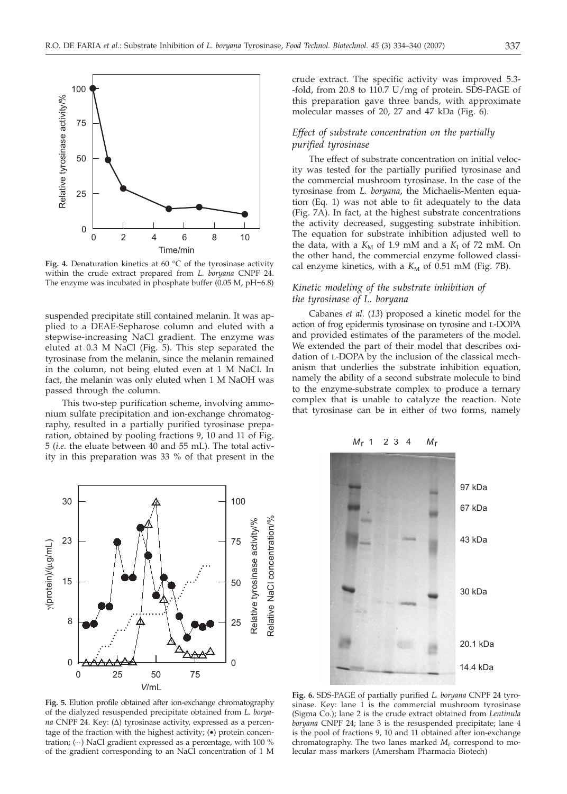

Fig. 4. Denaturation kinetics at 60 °C of the tyrosinase activity within the crude extract prepared from *L. boryana* CNPF 24. The enzyme was incubated in phosphate buffer (0.05 M, pH=6.8)

suspended precipitate still contained melanin. It was applied to a DEAE-Sepharose column and eluted with a stepwise-increasing NaCl gradient. The enzyme was eluted at 0.3 M NaCl (Fig. 5). This step separated the tyrosinase from the melanin, since the melanin remained in the column, not being eluted even at 1 M NaCl. In fact, the melanin was only eluted when 1 M NaOH was passed through the column.

This two-step purification scheme, involving ammonium sulfate precipitation and ion-exchange chromatography, resulted in a partially purified tyrosinase preparation, obtained by pooling fractions 9, 10 and 11 of Fig. 5 (*i.e.* the eluate between 40 and 55 mL). The total activity in this preparation was 33 % of that present in the



**Fig. 5.** Elution profile obtained after ion-exchange chromatography of the dialyzed resuspended precipitate obtained from *L. boryana* CNPF 24. Key: (∆) tyrosinase activity, expressed as a percentage of the fraction with the highest activity; (•) protein concentration; ( $\cdots$ ) NaCl gradient expressed as a percentage, with 100 % of the gradient corresponding to an NaCl concentration of 1 M

crude extract. The specific activity was improved 5.3- -fold, from 20.8 to 110.7 U/mg of protein. SDS-PAGE of this preparation gave three bands, with approximate molecular masses of 20, 27 and 47 kDa (Fig. 6).

# *Effect of substrate concentration on the partially purified tyrosinase*

The effect of substrate concentration on initial velocity was tested for the partially purified tyrosinase and the commercial mushroom tyrosinase. In the case of the tyrosinase from *L. boryana*, the Michaelis-Menten equation (Eq. 1) was not able to fit adequately to the data (Fig. 7A). In fact, at the highest substrate concentrations the activity decreased, suggesting substrate inhibition. The equation for substrate inhibition adjusted well to the data, with a  $K_M$  of 1.9 mM and a  $K_I$  of 72 mM. On the other hand, the commercial enzyme followed classical enzyme kinetics, with a  $K_M$  of 0.51 mM (Fig. 7B).

# *Kinetic modeling of the substrate inhibition of the tyrosinase of L. boryana*

Cabanes *et al.* (*13*) proposed a kinetic model for the action of frog epidermis tyrosinase on tyrosine and L-DOPA and provided estimates of the parameters of the model. We extended the part of their model that describes oxidation of L-DOPA by the inclusion of the classical mechanism that underlies the substrate inhibition equation, namely the ability of a second substrate molecule to bind to the enzyme-substrate complex to produce a ternary complex that is unable to catalyze the reaction. Note that tyrosinase can be in either of two forms, namely



**Fig. 6.** SDS-PAGE of partially purified *L. boryana* CNPF 24 tyrosinase. Key: lane 1 is the commercial mushroom tyrosinase (Sigma Co.); lane 2 is the crude extract obtained from *Lentinula boryana* CNPF 24; lane 3 is the resuspended precipitate; lane 4 is the pool of fractions 9, 10 and 11 obtained after ion-exchange chromatography. The two lanes marked *M*<sup>r</sup> correspond to molecular mass markers (Amersham Pharmacia Biotech)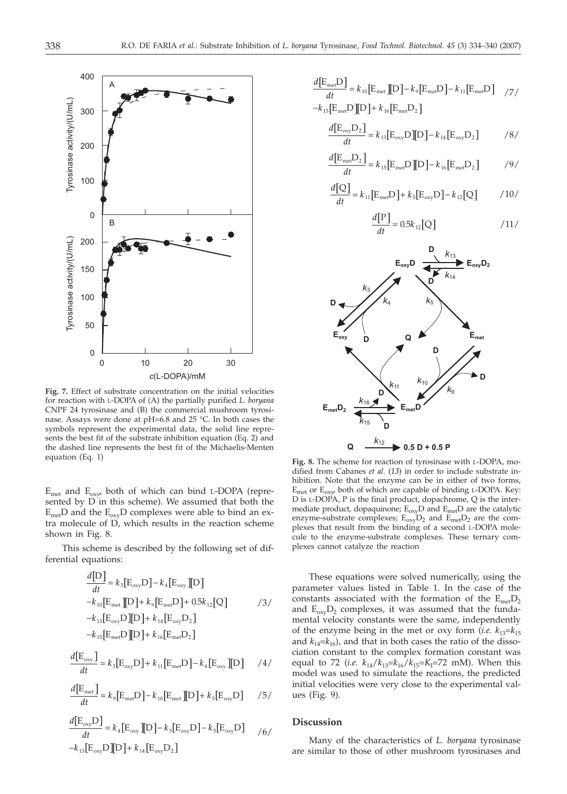

**Fig. 7.** Effect of substrate concentration on the initial velocities for reaction with L-DOPA of (A) the partially purified *L. boryana* CNPF 24 tyrosinase and (B) the commercial mushroom tyrosinase. Assays were done at pH=6.8 and 25 °C. In both cases the symbols represent the experimental data, the solid line represents the best fit of the substrate inhibition equation (Eq. 2) and the dashed line represents the best fit of the Michaelis-Menten equation (Eq. 1)

 $E_{\text{met}}$  and  $E_{\text{oxy}}$  both of which can bind L-DOPA (represented by D in this scheme). We assumed that both the  $E_{\text{met}}$ D and the  $E_{\text{ox}v}$ D complexes were able to bind an extra molecule of D, which results in the reaction scheme shown in Fig. 8.

This scheme is described by the following set of differential equations:

$$
\frac{d[D]}{dt} = k_3[E_{\text{oxy}}D] - k_4[E_{\text{oxy}}][D]
$$
  
\n
$$
-k_{10}[E_{\text{met}}][D] + k_9[E_{\text{met}}D] + 0.5k_{12}[Q]
$$
\n
$$
-k_{13}[E_{\text{oxy}}D][D] + k_{14}[E_{\text{oxy}}D_2]
$$
\n
$$
-k_{15}[E_{\text{met}}D][D] + k_{16}[E_{\text{met}}D_2]
$$
\n(3)

$$
\frac{d[E_{\text{oxy}}]}{dt} = k_3[E_{\text{oxy}}D] + k_{11}[E_{\text{met}}D] - k_4[E_{\text{oxy}}][D] \qquad /4/
$$

$$
\frac{d[E_{\text{met}}]}{dt} = k_9 [E_{\text{met}} D] - k_{10} [E_{\text{met}}] [D] + k_5 [E_{\text{oxy}} D] \qquad /5/
$$

$$
\frac{d[E_{\text{oxy}}D]}{dt} = k_4 [E_{\text{oxy}}][D] - k_3 [E_{\text{oxy}}D] - k_5 [E_{\text{oxy}}D] \qquad /6 /
$$
  

$$
-k_{13} [E_{\text{oxy}}D][D] + k_{14} [E_{\text{oxy}}D_2]
$$

$$
\frac{d\left[\mathbf{E}_{\text{me}t}\mathbf{D}\right]}{dt} = k_{10}\left[\mathbf{E}_{\text{me}t}\right]\left[\mathbf{D}\right] - k_{9}\left[\mathbf{E}_{\text{me}t}\mathbf{D}\right] - k_{11}\left[\mathbf{E}_{\text{me}t}\mathbf{D}\right]\quad/7/
$$
  
-k\_{15}\left[\mathbf{E}\_{\text{me}t}\mathbf{D}\right]\left[\mathbf{D}\right] + k\_{16}\left[\mathbf{E}\_{\text{me}t}\mathbf{D}\_{2}\right]

$$
\frac{d[E_{\text{oxy}}D_2]}{dt} = k_{13}[E_{\text{oxy}}D][D] - k_{14}[E_{\text{oxy}}D_2] \qquad \qquad /8/
$$

$$
\frac{d\left[\mathbf{E}_{\text{mei}}\mathbf{D}_2\right]}{dt} = k_{15}\left[\mathbf{E}_{\text{mei}}\mathbf{D}\right]\left[\mathbf{D}\right] - k_{16}\left[\mathbf{E}_{\text{mei}}\mathbf{D}_2\right] \tag{9}
$$

$$
\frac{d[Q]}{dt} = k_{11} [E_{\text{met}} D] + k_{5} [E_{\text{oxy}} D] - k_{12} [Q] \qquad \qquad /10/
$$

$$
\frac{d[\mathbf{P}]}{dt} = 0.5k_{12}[\mathbf{Q}] \tag{11/}
$$



**Fig. 8.** The scheme for reaction of tyrosinase with L-DOPA, modified from Cabanes *et al.* (*13*) in order to include substrate inhibition. Note that the enzyme can be in either of two forms,  $E_{\text{met}}$  or  $E_{\text{ox}w}$  both of which are capable of binding L-DOPA. Key: D is L-DOPA, P is the final product, dopachrome, Q is the intermediate product, dopaquinone;  $E_{oxy}D$  and  $E_{met}D$  are the catalytic enzyme-substrate complexes;  $E_{oxy}D_2$  and  $E_{met}D_2$  are the complexes that result from the binding of a second L-DOPA molecule to the enzyme-substrate complexes. These ternary complexes cannot catalyze the reaction

These equations were solved numerically, using the parameter values listed in Table 1. In the case of the constants associated with the formation of the  $E_{mef}D_2$ and  $E_{oxy}D_2$  complexes, it was assumed that the fundamental velocity constants were the same, independently of the enzyme being in the met or oxy form (*i.e.*  $k_{13}=k_{15}$ and  $k_{14} = k_{16}$ ), and that in both cases the ratio of the dissociation constant to the complex formation constant was equal to 72 (*i.e.*  $k_{14}/k_{13}=k_{16}/k_{15}=K_{1}=72$  mM). When this model was used to simulate the reactions, the predicted initial velocities were very close to the experimental values (Fig. 9).

## **Discussion**

Many of the characteristics of *L. boryana* tyrosinase are similar to those of other mushroom tyrosinases and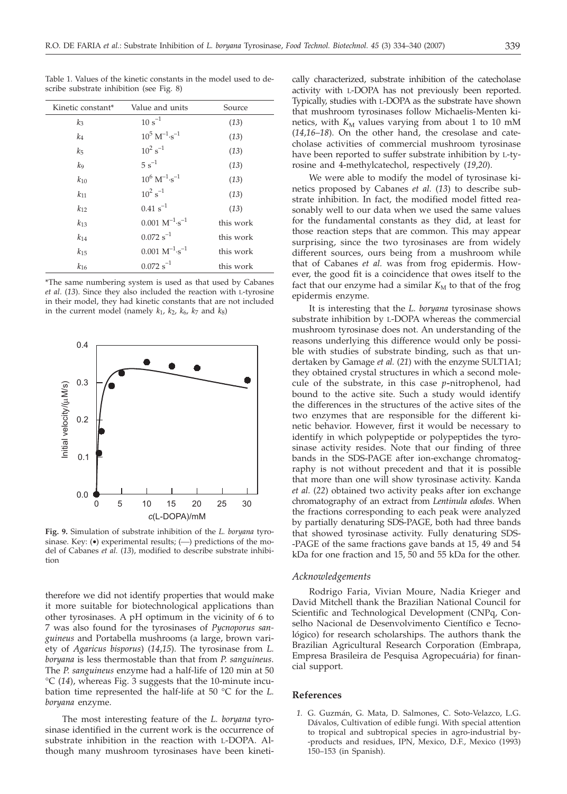| Kinetic constant* | Value and units             | Source    |
|-------------------|-----------------------------|-----------|
| $k_3$             | $10 s^{-1}$                 | (13)      |
| k <sub>4</sub>    | $10^5 M^{-1} \cdot s^{-1}$  | (13)      |
| $k_{5}$           | $10^2 s^{-1}$               | (13)      |
| kg                | $5s^{-1}$                   | (13)      |
| $k_{10}$          | $10^6 M^{-1} \cdot s^{-1}$  | (13)      |
| $k_{11}$          | $10^2 s^{-1}$               | (13)      |
| $k_{12}$          | $0.41 s^{-1}$               | (13)      |
| $k_{13}$          | $0.001 M^{-1} \cdot s^{-1}$ | this work |
| $k_{14}$          | $0.072 s^{-1}$              | this work |
| $k_{15}$          | $0.001 M^{-1} \cdot s^{-1}$ | this work |
| $k_{16}$          | $0.072 s^{-1}$              | this work |

Table 1. Values of the kinetic constants in the model used to describe substrate inhibition (see Fig. 8)

\*The same numbering system is used as that used by Cabanes *et al*. (*13*). Since they also included the reaction with L-tyrosine in their model, they had kinetic constants that are not included in the current model (namely  $k_1$ ,  $k_2$ ,  $k_6$ ,  $k_7$  and  $k_8$ )



**Fig. 9.** Simulation of substrate inhibition of the *L. boryana* tyrosinase. Key:  $\left( \bullet \right)$  experimental results;  $\left( \left( \leftarrow \right)$  predictions of the model of Cabanes *et al.* (*13*), modified to describe substrate inhibition

therefore we did not identify properties that would make it more suitable for biotechnological applications than other tyrosinases. A pH optimum in the vicinity of 6 to 7 was also found for the tyrosinases of *Pycnoporus sanguineus* and Portabella mushrooms (a large, brown variety of *Agaricus bisporus*) (*14*,*15*). The tyrosinase from *L. boryana* is less thermostable than that from *P. sanguineus*. The *P. sanguineus* enzyme had a half-life of 120 min at 50 °C (*14*), whereas Fig. 3 suggests that the 10-minute incubation time represented the half-life at 50 °C for the *L. boryana* enzyme.

The most interesting feature of the *L. boryana* tyrosinase identified in the current work is the occurrence of substrate inhibition in the reaction with L-DOPA. Although many mushroom tyrosinases have been kineti-

cally characterized, substrate inhibition of the catecholase activity with L-DOPA has not previously been reported. Typically, studies with L-DOPA as the substrate have shown that mushroom tyrosinases follow Michaelis-Menten kinetics, with  $K_M$  values varying from about 1 to 10 mM (*14*,*16*–*18*). On the other hand, the cresolase and catecholase activities of commercial mushroom tyrosinase have been reported to suffer substrate inhibition by L-tyrosine and 4-methylcatechol, respectively (*19*,*20*).

We were able to modify the model of tyrosinase kinetics proposed by Cabanes *et al.* (*13*) to describe substrate inhibition. In fact, the modified model fitted reasonably well to our data when we used the same values for the fundamental constants as they did, at least for those reaction steps that are common. This may appear surprising, since the two tyrosinases are from widely different sources, ours being from a mushroom while that of Cabanes *et al.* was from frog epidermis. However, the good fit is a coincidence that owes itself to the fact that our enzyme had a similar  $K_M$  to that of the frog epidermis enzyme.

It is interesting that the *L. boryana* tyrosinase shows substrate inhibition by L-DOPA whereas the commercial mushroom tyrosinase does not. An understanding of the reasons underlying this difference would only be possible with studies of substrate binding, such as that undertaken by Gamage *et al.* (*21*) with the enzyme SULT1A1; they obtained crystal structures in which a second molecule of the substrate, in this case *p-*nitrophenol, had bound to the active site. Such a study would identify the differences in the structures of the active sites of the two enzymes that are responsible for the different kinetic behavior. However, first it would be necessary to identify in which polypeptide or polypeptides the tyrosinase activity resides. Note that our finding of three bands in the SDS-PAGE after ion-exchange chromatography is not without precedent and that it is possible that more than one will show tyrosinase activity. Kanda *et al.* (*22*) obtained two activity peaks after ion exchange chromatography of an extract from *Lentinula edodes*. When the fractions corresponding to each peak were analyzed by partially denaturing SDS-PAGE, both had three bands that showed tyrosinase activity. Fully denaturing SDS- -PAGE of the same fractions gave bands at 15, 49 and 54 kDa for one fraction and 15, 50 and 55 kDa for the other.

## *Acknowledgements*

Rodrigo Faria, Vivian Moure, Nadia Krieger and David Mitchell thank the Brazilian National Council for Scientific and Technological Development (CNPq, Conselho Nacional de Desenvolvimento Científico e Tecnológico) for research scholarships. The authors thank the Brazilian Agricultural Research Corporation (Embrapa, Empresa Brasileira de Pesquisa Agropecuária) for financial support.

#### **References**

*1.* G. Guzmán, G. Mata, D. Salmones, C. Soto-Velazco, L.G. Dávalos, Cultivation of edible fungi. With special attention to tropical and subtropical species in agro-industrial by- -products and residues, IPN, Mexico, D.F., Mexico (1993) 150–153 (in Spanish).